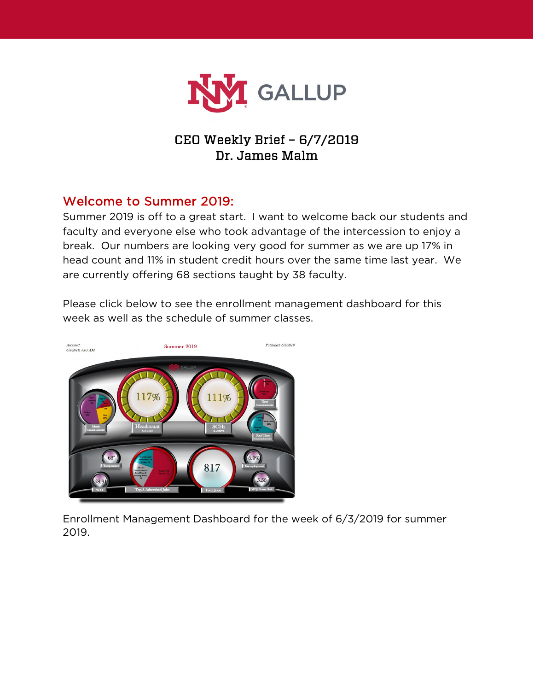

# CEO Weekly Brief – 6/7/2019 Dr. James Malm

## Welcome to Summer 2019:

Summer 2019 is off to a great start. I want to welcome back our students and faculty and everyone else who took advantage of the intercession to enjoy a break. Our numbers are looking very good for summer as we are up 17% in head count and 11% in student credit hours over the same time last year. We are currently offering 68 sections taught by 38 faculty.



Please click below to see the enrollment management dashboard for this week as well as the schedule of summer classes.

Enrollment Management Dashboard for the week of 6/3/2019 for summer 2019.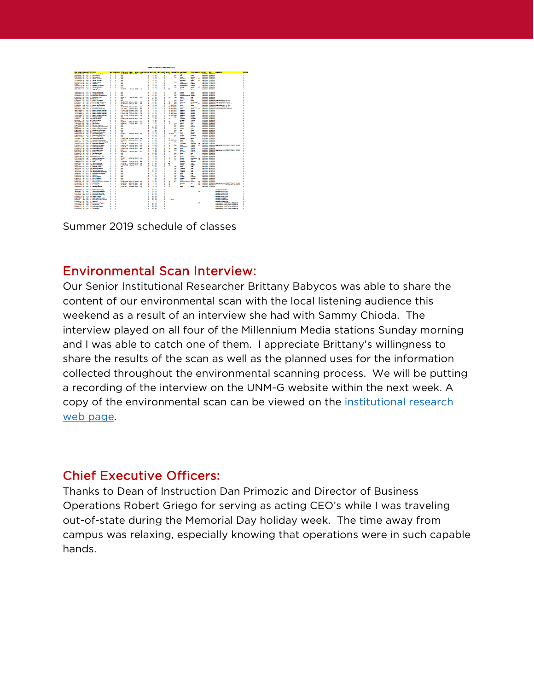

Summer 2019 schedule of classes

## Environmental Scan Interview:

Our Senior Institutional Researcher Brittany Babycos was able to share the content of our environmental scan with the local listening audience this weekend as a result of an interview she had with Sammy Chioda. The interview played on all four of the Millennium Media stations Sunday morning and I was able to catch one of them. I appreciate Brittany's willingness to share the results of the scan as well as the planned uses for the information collected throughout the environmental scanning process. We will be putting a recording of the interview on the UNM-G website within the next week. A copy of the environmental scan can be viewed on the [institutional research](https://gallup.unm.edu/ir/)  [web page.](https://gallup.unm.edu/ir/)

### Chief Executive Officers:

Thanks to Dean of Instruction Dan Primozic and Director of Business Operations Robert Griego for serving as acting CEO's while I was traveling out-of-state during the Memorial Day holiday week. The time away from campus was relaxing, especially knowing that operations were in such capable hands.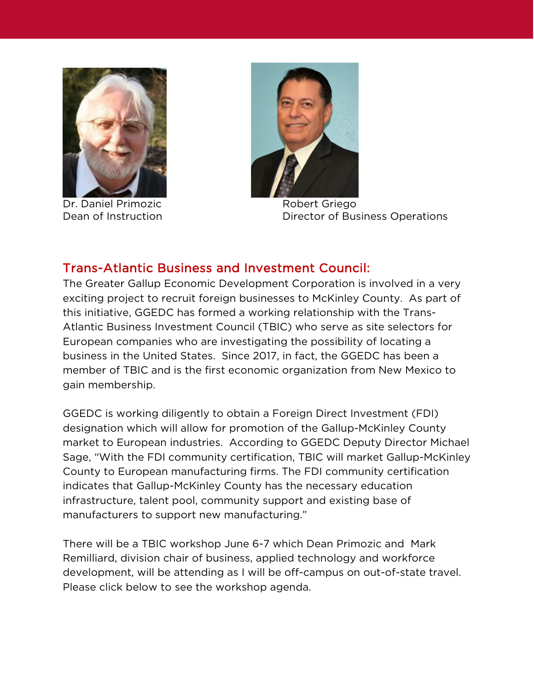

Dr. Daniel Primozic **Robert Griego** 



Dean of Instruction **Director of Business Operations** 

## Trans-Atlantic Business and Investment Council:

The Greater Gallup Economic Development Corporation is involved in a very exciting project to recruit foreign businesses to McKinley County. As part of this initiative, GGEDC has formed a working relationship with the Trans-Atlantic Business Investment Council (TBIC) who serve as site selectors for European companies who are investigating the possibility of locating a business in the United States. Since 2017, in fact, the GGEDC has been a member of TBIC and is the first economic organization from New Mexico to gain membership.

GGEDC is working diligently to obtain a Foreign Direct Investment (FDI) designation which will allow for promotion of the Gallup-McKinley County market to European industries. According to GGEDC Deputy Director Michael Sage, "With the FDI community certification, TBIC will market Gallup-McKinley County to European manufacturing firms. The FDI community certification indicates that Gallup-McKinley County has the necessary education infrastructure, talent pool, community support and existing base of manufacturers to support new manufacturing."

There will be a TBIC workshop June 6-7 which Dean Primozic and Mark Remilliard, division chair of business, applied technology and workforce development, will be attending as I will be off-campus on out-of-state travel. Please click below to see the workshop agenda.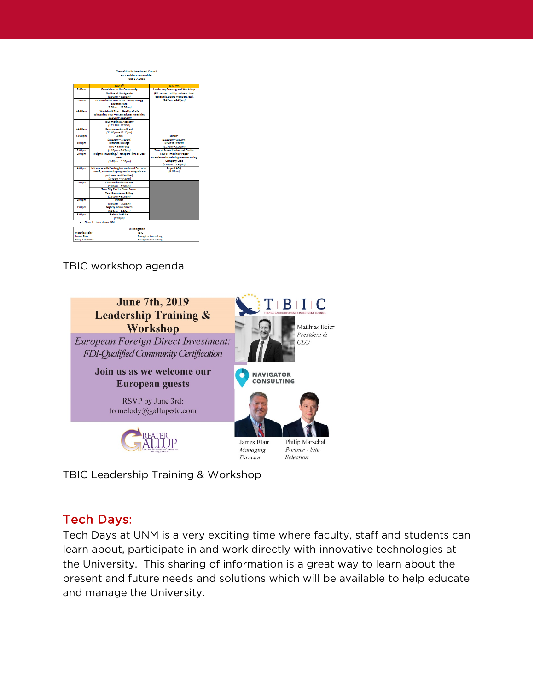

|                               | June 6 <sup>n</sup>                              |                             | June 7th                                     |  |
|-------------------------------|--------------------------------------------------|-----------------------------|----------------------------------------------|--|
| 8:00am                        | <b>Orientation to the Community</b>              |                             | Leadership Training and Workshop             |  |
|                               | <b>Outline of the Agenda</b>                     |                             | (ED partners, utility partners, local        |  |
|                               | $(8:00am - 9:30am)$                              |                             | leadership, board members, etcl.             |  |
| 9:00am                        | Orientation & Tour of the Gallup Energy          |                             | (8:30am-12:00pm)                             |  |
|                               | <b>Logistics Park</b>                            |                             |                                              |  |
|                               | $(9:30cm - 10:30cm)$                             |                             |                                              |  |
| 10:00am                       | <b>Windshield Tour - Quality of Life</b>         |                             |                                              |  |
|                               | <b>Windshield Tour - International Amenities</b> |                             |                                              |  |
|                               | (10:30am- 11:00am)                               |                             |                                              |  |
|                               | <b>Tour McKinley Academy</b>                     |                             |                                              |  |
|                               | (11:15am-12:00m)                                 |                             |                                              |  |
| 11:00am                       | <b>Communications Break</b>                      |                             |                                              |  |
|                               | $(12,00pm - 12,15pm)$                            |                             |                                              |  |
| 12:00pm                       | Lunch                                            |                             | Lunch <sup>*</sup>                           |  |
|                               | $(12:15nm - 1:15nm)$                             |                             | $(12:30pm - 1:30pm)$                         |  |
| 1:00pm                        | <b>Technical College</b>                         |                             | <b>Drive to Prewitt</b>                      |  |
|                               | <b>NTU - Elmer Guy</b>                           |                             | $(1:15pm - 2:00pm)$                          |  |
| 2:00pm                        | $(1:30pm - 2:45pm)$                              |                             | <b>Tour of Prewitt Industrial Cluster</b>    |  |
| 3:00pm                        | Freight Forwarding / Transport Firm or User      |                             | <b>Tour of McKinley Paper</b>                |  |
|                               | <b>Exec</b>                                      |                             | <b>Interview with Existing Manufacturing</b> |  |
|                               | $(3:00nm - 3:30nm)$                              |                             | <b>Company Exec</b>                          |  |
|                               |                                                  |                             | $(2:00nm - 3:45nm)$                          |  |
| 4:00pm                        | Interview with Existing International Executive  |                             | <b>Depart ABQ</b>                            |  |
|                               | (mant., community program to integrate ex-       |                             | $(4:00 \text{pm})$                           |  |
|                               | pats exec and families)                          |                             |                                              |  |
|                               | $(3:45)$ m - 4:45pm)                             |                             |                                              |  |
| 5:00pm                        | <b>Communications Break</b>                      |                             |                                              |  |
|                               | $(3,000m - 5,300m)$                              |                             |                                              |  |
|                               | <b>Tour City Electric Shoe Source</b>            |                             |                                              |  |
|                               | <b>Tour Downtown Gallup</b>                      |                             |                                              |  |
|                               | $(3:30pm - 6:00pm)$                              |                             |                                              |  |
| Dinner<br>6:00pm              |                                                  |                             |                                              |  |
|                               | $(6:00pm - 7:30pm)$                              |                             |                                              |  |
| 7:00pm                        | <b>Nightly Indian Dances</b>                     |                             |                                              |  |
|                               | $(7:30pm - $:00pm)$                              |                             |                                              |  |
| 8:00pm                        | <b>Return to Hotel</b>                           |                             |                                              |  |
| $($ s:00pm $)$                |                                                  |                             |                                              |  |
|                               | Flying J - Jamestown, NM                         |                             |                                              |  |
|                               | <b>FDI Delegation</b>                            |                             |                                              |  |
| <b>Matthias Beier</b><br>TBIC |                                                  |                             |                                              |  |
| <b>James Risir</b>            |                                                  | <b>Navigator Consulting</b> |                                              |  |
| <b>Philip Martchall</b>       |                                                  |                             | <b>Nevigator Consulting</b>                  |  |

TBIC workshop agenda



TBIC Leadership Training & Workshop

## Tech Days:

Tech Days at UNM is a very exciting time where faculty, staff and students can learn about, participate in and work directly with innovative technologies at the University. This sharing of information is a great way to learn about the present and future needs and solutions which will be available to help educate and manage the University.